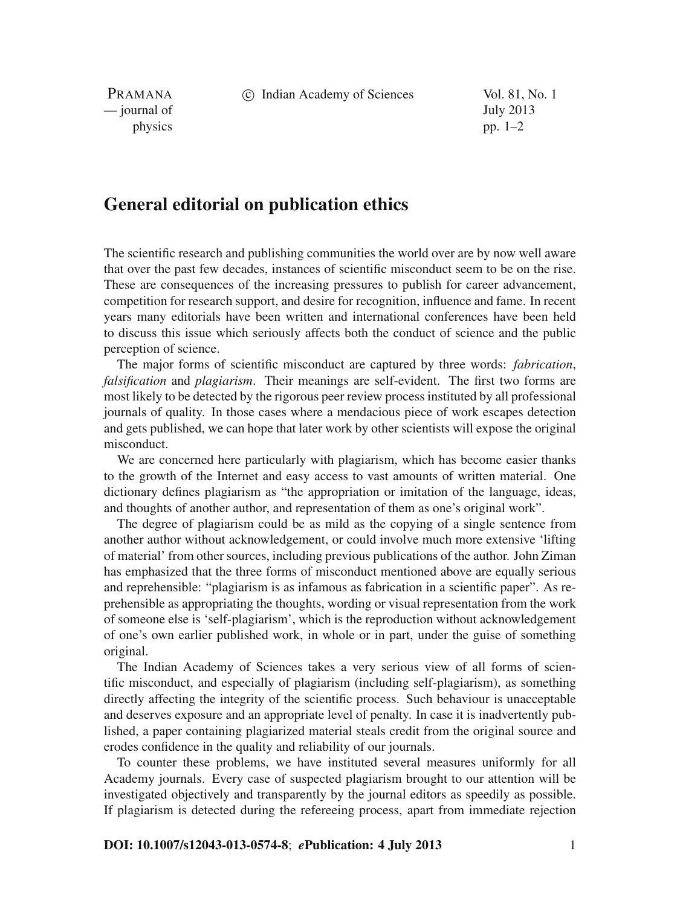c Indian Academy of Sciences Vol. 81, No. 1

PRAMANA — journal of July 2013 physics  $pp. 1-2$ 

## **General editorial on publication ethics**

The scientific research and publishing communities the world over are by now well aware that over the past few decades, instances of scientific misconduct seem to be on the rise. These are consequences of the increasing pressures to publish for career advancement, competition for research support, and desire for recognition, influence and fame. In recent years many editorials have been written and international conferences have been held to discuss this issue which seriously affects both the conduct of science and the public perception of science.

The major forms of scientific misconduct are captured by three words: *fabrication*, *falsification* and *plagiarism*. Their meanings are self-evident. The first two forms are most likely to be detected by the rigorous peer review process instituted by all professional journals of quality. In those cases where a mendacious piece of work escapes detection and gets published, we can hope that later work by other scientists will expose the original misconduct.

We are concerned here particularly with plagiarism, which has become easier thanks to the growth of the Internet and easy access to vast amounts of written material. One dictionary defines plagiarism as "the appropriation or imitation of the language, ideas, and thoughts of another author, and representation of them as one's original work".

The degree of plagiarism could be as mild as the copying of a single sentence from another author without acknowledgement, or could involve much more extensive 'lifting of material' from other sources, including previous publications of the author. John Ziman has emphasized that the three forms of misconduct mentioned above are equally serious and reprehensible: "plagiarism is as infamous as fabrication in a scientific paper". As reprehensible as appropriating the thoughts, wording or visual representation from the work of someone else is 'self-plagiarism', which is the reproduction without acknowledgement of one's own earlier published work, in whole or in part, under the guise of something original.

The Indian Academy of Sciences takes a very serious view of all forms of scientific misconduct, and especially of plagiarism (including self-plagiarism), as something directly affecting the integrity of the scientific process. Such behaviour is unacceptable and deserves exposure and an appropriate level of penalty. In case it is inadvertently published, a paper containing plagiarized material steals credit from the original source and erodes confidence in the quality and reliability of our journals.

To counter these problems, we have instituted several measures uniformly for all Academy journals. Every case of suspected plagiarism brought to our attention will be investigated objectively and transparently by the journal editors as speedily as possible. If plagiarism is detected during the refereeing process, apart from immediate rejection